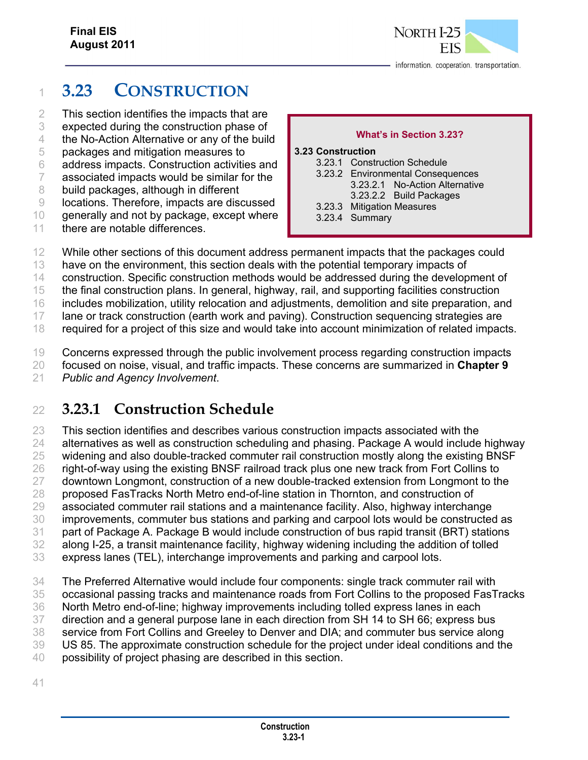

# **3.23 CONSTRUCTION**

This section identifies the impacts that are

expected during the construction phase of

the No-Action Alternative or any of the build

packages and mitigation measures to

address impacts. Construction activities and

associated impacts would be similar for the

build packages, although in different

locations. Therefore, impacts are discussed

generally and not by package, except where

11 there are notable differences.

#### **What's in Section 3.23?**

#### **3.23 Construction**  3.23.1 Construction Schedule

| 3.23.1 CONSTRUCTION SCHEDULE      |
|-----------------------------------|
| 3.23.2 Environmental Consequences |
| 3.23.2.1 No-Action Alternative    |
| 3.23.2.2 Build Packages           |
| 3.23.3 Mitigation Measures        |
| 3.23.4 Summary                    |

While other sections of this document address permanent impacts that the packages could

have on the environment, this section deals with the potential temporary impacts of

construction. Specific construction methods would be addressed during the development of

the final construction plans. In general, highway, rail, and supporting facilities construction

includes mobilization, utility relocation and adjustments, demolition and site preparation, and

17 lane or track construction (earth work and paving). Construction sequencing strategies are required for a project of this size and would take into account minimization of related impacts.

Concerns expressed through the public involvement process regarding construction impacts

focused on noise, visual, and traffic impacts. These concerns are summarized in **Chapter 9**

*Public and Agency Involvement*.

# **3.23.1 Construction Schedule**

 This section identifies and describes various construction impacts associated with the alternatives as well as construction scheduling and phasing. Package A would include highway widening and also double-tracked commuter rail construction mostly along the existing BNSF 26 right-of-way using the existing BNSF railroad track plus one new track from Fort Collins to downtown Longmont, construction of a new double-tracked extension from Longmont to the proposed FasTracks North Metro end-of-line station in Thornton, and construction of associated commuter rail stations and a maintenance facility. Also, highway interchange improvements, commuter bus stations and parking and carpool lots would be constructed as part of Package A. Package B would include construction of bus rapid transit (BRT) stations along I-25, a transit maintenance facility, highway widening including the addition of tolled express lanes (TEL), interchange improvements and parking and carpool lots.

 The Preferred Alternative would include four components: single track commuter rail with occasional passing tracks and maintenance roads from Fort Collins to the proposed FasTracks North Metro end-of-line; highway improvements including tolled express lanes in each direction and a general purpose lane in each direction from SH 14 to SH 66; express bus service from Fort Collins and Greeley to Denver and DIA; and commuter bus service along US 85. The approximate construction schedule for the project under ideal conditions and the

possibility of project phasing are described in this section.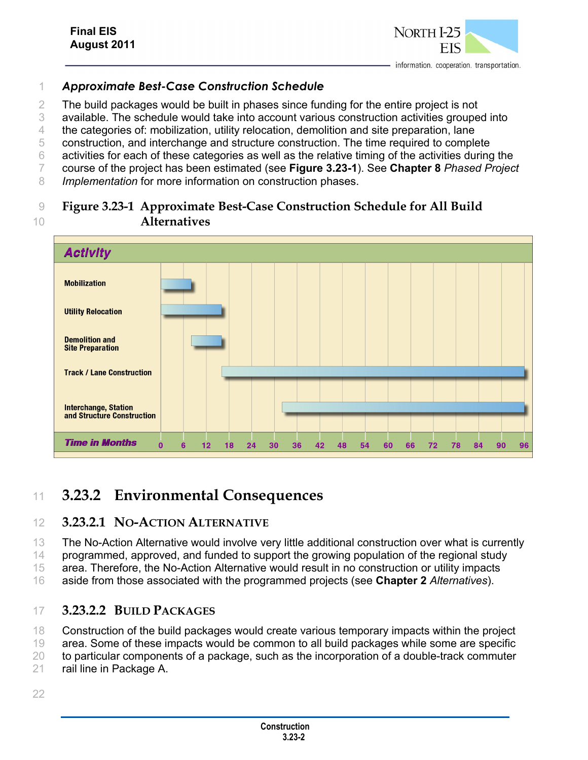### *Approximate Best-Case Construction Schedule*

2 The build packages would be built in phases since funding for the entire project is not

available. The schedule would take into account various construction activities grouped into

the categories of: mobilization, utility relocation, demolition and site preparation, lane

construction, and interchange and structure construction. The time required to complete

activities for each of these categories as well as the relative timing of the activities during the

course of the project has been estimated (see **Figure 3.23-1**). See **Chapter 8** *Phased Project* 

*Implementation* for more information on construction phases.

### **Figure 3.23-1 Approximate Best-Case Construction Schedule for All Build Alternatives**



# **3.23.2 Environmental Consequences**

### **3.23.2.1 NO-ACTION ALTERNATIVE**

The No-Action Alternative would involve very little additional construction over what is currently

14 programmed, approved, and funded to support the growing population of the regional study

area. Therefore, the No-Action Alternative would result in no construction or utility impacts

aside from those associated with the programmed projects (see **Chapter 2** *Alternatives*).

### **3.23.2.2 BUILD PACKAGES**

Construction of the build packages would create various temporary impacts within the project

area. Some of these impacts would be common to all build packages while some are specific

to particular components of a package, such as the incorporation of a double-track commuter

rail line in Package A.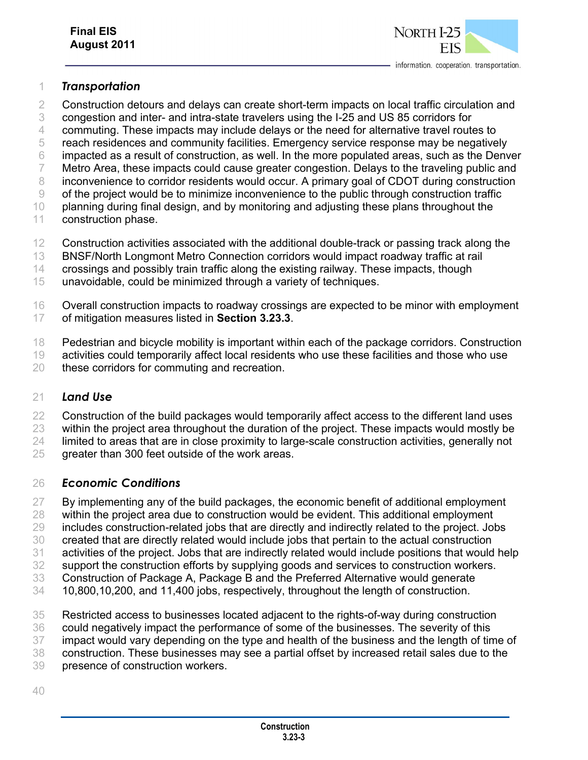

#### *Transportation*

- 2 Construction detours and delays can create short-term impacts on local traffic circulation and
- congestion and inter- and intra-state travelers using the I-25 and US 85 corridors for
- commuting. These impacts may include delays or the need for alternative travel routes to
- reach residences and community facilities. Emergency service response may be negatively
- impacted as a result of construction, as well. In the more populated areas, such as the Denver 7 Metro Area, these impacts could cause greater congestion. Delays to the traveling public and
- 8 inconvenience to corridor residents would occur. A primary goal of CDOT during construction
- of the project would be to minimize inconvenience to the public through construction traffic

planning during final design, and by monitoring and adjusting these plans throughout the

- construction phase.
- Construction activities associated with the additional double-track or passing track along the
- BNSF/North Longmont Metro Connection corridors would impact roadway traffic at rail
- crossings and possibly train traffic along the existing railway. These impacts, though
- unavoidable, could be minimized through a variety of techniques.
- Overall construction impacts to roadway crossings are expected to be minor with employment of mitigation measures listed in **Section 3.23.3**.
- 18 Pedestrian and bicycle mobility is important within each of the package corridors. Construction
- activities could temporarily affect local residents who use these facilities and those who use
- these corridors for commuting and recreation.

### *Land Use*

- 22 Construction of the build packages would temporarily affect access to the different land uses
- 23 within the project area throughout the duration of the project. These impacts would mostly be
- limited to areas that are in close proximity to large-scale construction activities, generally not
- greater than 300 feet outside of the work areas.

### *Economic Conditions*

- By implementing any of the build packages, the economic benefit of additional employment
- within the project area due to construction would be evident. This additional employment
- includes construction-related jobs that are directly and indirectly related to the project. Jobs
- created that are directly related would include jobs that pertain to the actual construction
- activities of the project. Jobs that are indirectly related would include positions that would help
- support the construction efforts by supplying goods and services to construction workers. Construction of Package A, Package B and the Preferred Alternative would generate
- 10,800,10,200, and 11,400 jobs, respectively, throughout the length of construction.
- Restricted access to businesses located adjacent to the rights-of-way during construction
- could negatively impact the performance of some of the businesses. The severity of this
- impact would vary depending on the type and health of the business and the length of time of
- construction. These businesses may see a partial offset by increased retail sales due to the
- presence of construction workers.
-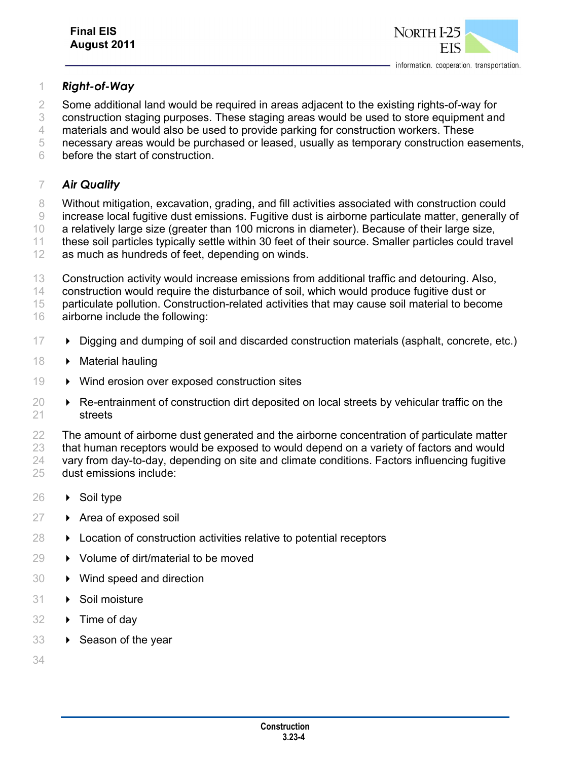

#### *Right-of-Way*

Some additional land would be required in areas adjacent to the existing rights-of-way for

construction staging purposes. These staging areas would be used to store equipment and

materials and would also be used to provide parking for construction workers. These

necessary areas would be purchased or leased, usually as temporary construction easements,

before the start of construction.

#### *Air Quality*

8 Without mitigation, excavation, grading, and fill activities associated with construction could

increase local fugitive dust emissions. Fugitive dust is airborne particulate matter, generally of

 a relatively large size (greater than 100 microns in diameter). Because of their large size, these soil particles typically settle within 30 feet of their source. Smaller particles could travel

- as much as hundreds of feet, depending on winds.
	- Construction activity would increase emissions from additional traffic and detouring. Also,

construction would require the disturbance of soil, which would produce fugitive dust or

 particulate pollution. Construction-related activities that may cause soil material to become airborne include the following:

- Digging and dumping of soil and discarded construction materials (asphalt, concrete, etc.)
- 18 Material hauling
- 19 Wind erosion over exposed construction sites
- $\rightarrow$  Re-entrainment of construction dirt deposited on local streets by vehicular traffic on the streets

22 The amount of airborne dust generated and the airborne concentration of particulate matter that human receptors would be exposed to would depend on a variety of factors and would vary from day-to-day, depending on site and climate conditions. Factors influencing fugitive dust emissions include:

- 26 → Soil type
- $27 \rightarrow$  Area of exposed soil
- **Exercise 28 Location of construction activities relative to potential receptors**
- **→** Volume of dirt/material to be moved
- Wind speed and direction
- 31 > Soil moisture
- **► Time of day**
- 33 > Season of the year
-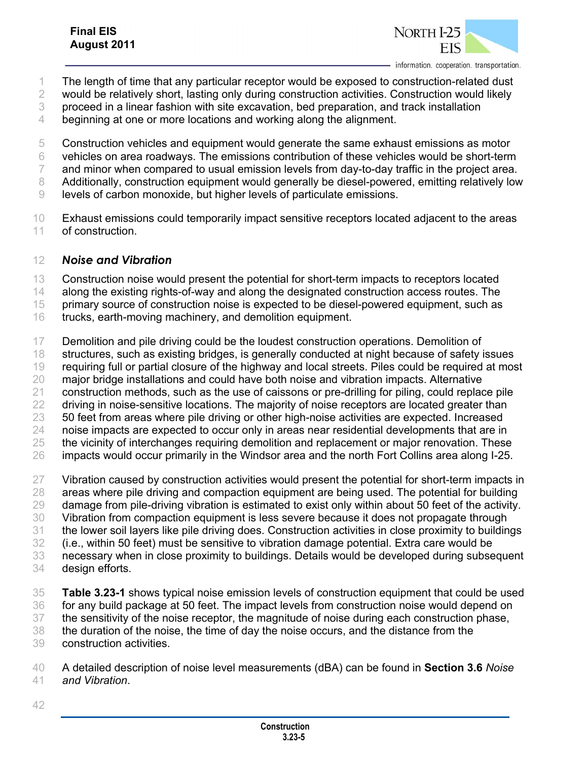

- The length of time that any particular receptor would be exposed to construction-related dust
- would be relatively short, lasting only during construction activities. Construction would likely
- proceed in a linear fashion with site excavation, bed preparation, and track installation
- beginning at one or more locations and working along the alignment.
- Construction vehicles and equipment would generate the same exhaust emissions as motor
- vehicles on area roadways. The emissions contribution of these vehicles would be short-term
- and minor when compared to usual emission levels from day-to-day traffic in the project area.
- Additionally, construction equipment would generally be diesel-powered, emitting relatively low
- levels of carbon monoxide, but higher levels of particulate emissions.
- Exhaust emissions could temporarily impact sensitive receptors located adjacent to the areas of construction.

### *Noise and Vibration*

- 13 Construction noise would present the potential for short-term impacts to receptors located
- along the existing rights-of-way and along the designated construction access routes. The
- primary source of construction noise is expected to be diesel-powered equipment, such as
- trucks, earth-moving machinery, and demolition equipment.
- Demolition and pile driving could be the loudest construction operations. Demolition of structures, such as existing bridges, is generally conducted at night because of safety issues requiring full or partial closure of the highway and local streets. Piles could be required at most major bridge installations and could have both noise and vibration impacts. Alternative construction methods, such as the use of caissons or pre-drilling for piling, could replace pile 22 driving in noise-sensitive locations. The majority of noise receptors are located greater than 50 feet from areas where pile driving or other high-noise activities are expected. Increased 24 noise impacts are expected to occur only in areas near residential developments that are in 25 the vicinity of interchanges requiring demolition and replacement or major renovation. These impacts would occur primarily in the Windsor area and the north Fort Collins area along I-25. 27 Vibration caused by construction activities would present the potential for short-term impacts in
- 28 areas where pile driving and compaction equipment are being used. The potential for building damage from pile-driving vibration is estimated to exist only within about 50 feet of the activity. Vibration from compaction equipment is less severe because it does not propagate through the lower soil layers like pile driving does. Construction activities in close proximity to buildings (i.e., within 50 feet) must be sensitive to vibration damage potential. Extra care would be necessary when in close proximity to buildings. Details would be developed during subsequent design efforts.
- **Table 3.23-1** shows typical noise emission levels of construction equipment that could be used for any build package at 50 feet. The impact levels from construction noise would depend on the sensitivity of the noise receptor, the magnitude of noise during each construction phase, the duration of the noise, the time of day the noise occurs, and the distance from the construction activities.

 A detailed description of noise level measurements (dBA) can be found in **Section 3.6** *Noise and Vibration*.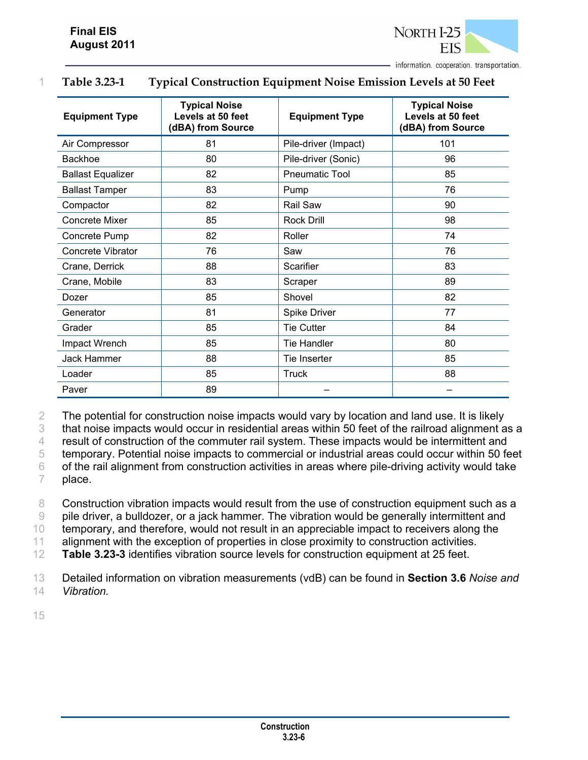

| <b>Equipment Type</b>    | <b>Typical Noise</b><br>Levels at 50 feet<br>(dBA) from Source | <b>Equipment Type</b> | <b>Typical Noise</b><br>Levels at 50 feet<br>(dBA) from Source |
|--------------------------|----------------------------------------------------------------|-----------------------|----------------------------------------------------------------|
| Air Compressor           | 81                                                             | Pile-driver (Impact)  | 101                                                            |
| <b>Backhoe</b>           | 80                                                             | Pile-driver (Sonic)   | 96                                                             |
| <b>Ballast Equalizer</b> | 82                                                             | <b>Pneumatic Tool</b> | 85                                                             |
| <b>Ballast Tamper</b>    | 83                                                             | Pump                  | 76                                                             |
| Compactor                | 82                                                             | Rail Saw              | 90                                                             |
| Concrete Mixer           | 85                                                             | Rock Drill            | 98                                                             |
| Concrete Pump            | 82                                                             | Roller                | 74                                                             |
| Concrete Vibrator        | 76                                                             | Saw                   | 76                                                             |
| Crane, Derrick           | 88                                                             | Scarifier             | 83                                                             |
| Crane, Mobile            | 83                                                             | Scraper               | 89                                                             |
| Dozer                    | 85                                                             | Shovel                | 82                                                             |
| Generator                | 81                                                             | Spike Driver          | 77                                                             |
| Grader                   | 85                                                             | <b>Tie Cutter</b>     | 84                                                             |
| Impact Wrench            | 85                                                             | <b>Tie Handler</b>    | 80                                                             |
| Jack Hammer              | 88                                                             | Tie Inserter          | 85                                                             |
| Loader                   | 85                                                             | Truck                 | 88                                                             |
| Paver                    | 89                                                             |                       |                                                                |

#### 1 **Table 3.23-1 Typical Construction Equipment Noise Emission Levels at 50 Feet**

2 The potential for construction noise impacts would vary by location and land use. It is likely

3 that noise impacts would occur in residential areas within 50 feet of the railroad alignment as a

4 result of construction of the commuter rail system. These impacts would be intermittent and

5 temporary. Potential noise impacts to commercial or industrial areas could occur within 50 feet 6 of the rail alignment from construction activities in areas where pile-driving activity would take

7 place.

8 Construction vibration impacts would result from the use of construction equipment such as a 9 pile driver, a bulldozer, or a jack hammer. The vibration would be generally intermittent and

10 temporary, and therefore, would not result in an appreciable impact to receivers along the

11 alignment with the exception of properties in close proximity to construction activities.

12 **Table 3.23-3** identifies vibration source levels for construction equipment at 25 feet.

13 Detailed information on vibration measurements (vdB) can be found in **Section 3.6** *Noise and*  14 *Vibration.*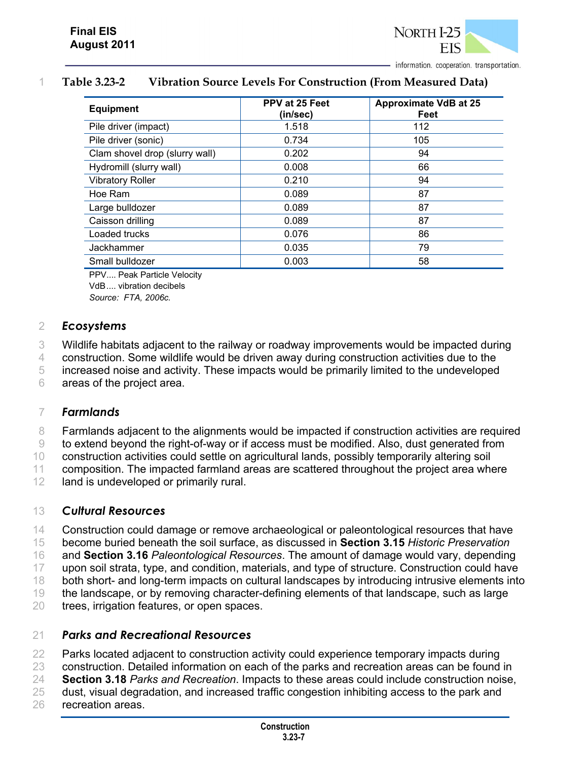

#### 1 **Table 3.23-2 Vibration Source Levels For Construction (From Measured Data)**

| <b>Equipment</b>               | PPV at 25 Feet<br>(in/sec) | <b>Approximate VdB at 25</b><br>Feet |
|--------------------------------|----------------------------|--------------------------------------|
| Pile driver (impact)           | 1.518                      | 112                                  |
| Pile driver (sonic)            | 0.734                      | 105                                  |
| Clam shovel drop (slurry wall) | 0.202                      | 94                                   |
| Hydromill (slurry wall)        | 0.008                      | 66                                   |
| <b>Vibratory Roller</b>        | 0.210                      | 94                                   |
| Hoe Ram                        | 0.089                      | 87                                   |
| Large bulldozer                | 0.089                      | 87                                   |
| Caisson drilling               | 0.089                      | 87                                   |
| Loaded trucks                  | 0.076                      | 86                                   |
| Jackhammer                     | 0.035                      | 79                                   |
| Small bulldozer                | 0.003                      | 58                                   |

PPV.... Peak Particle Velocity VdB .... vibration decibels *Source: FTA, 2006c.*

#### 2 *Ecosystems*

3 Wildlife habitats adjacent to the railway or roadway improvements would be impacted during

4 construction. Some wildlife would be driven away during construction activities due to the

5 increased noise and activity. These impacts would be primarily limited to the undeveloped 6 areas of the project area.

#### 7 *Farmlands*

 Farmlands adjacent to the alignments would be impacted if construction activities are required to extend beyond the right-of-way or if access must be modified. Also, dust generated from construction activities could settle on agricultural lands, possibly temporarily altering soil composition. The impacted farmland areas are scattered throughout the project area where 12 land is undeveloped or primarily rural.

#### 13 *Cultural Resources*

 Construction could damage or remove archaeological or paleontological resources that have become buried beneath the soil surface, as discussed in **Section 3.15** *Historic Preservation* and **Section 3.16** *Paleontological Resources*. The amount of damage would vary, depending upon soil strata, type, and condition, materials, and type of structure. Construction could have 18 both short- and long-term impacts on cultural landscapes by introducing intrusive elements into the landscape, or by removing character-defining elements of that landscape, such as large trees, irrigation features, or open spaces.

### 21 *Parks and Recreational Resources*

22 Parks located adjacent to construction activity could experience temporary impacts during 23 construction. Detailed information on each of the parks and recreation areas can be found in 24 **Section 3.18** *Parks and Recreation*. Impacts to these areas could include construction noise, 25 dust, visual degradation, and increased traffic congestion inhibiting access to the park and 26 recreation areas.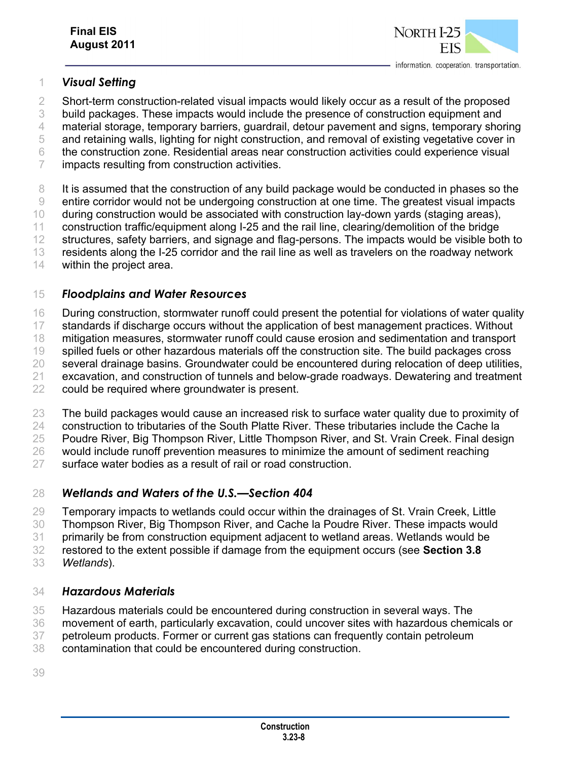

#### *Visual Setting*

Short-term construction-related visual impacts would likely occur as a result of the proposed

build packages. These impacts would include the presence of construction equipment and

material storage, temporary barriers, guardrail, detour pavement and signs, temporary shoring

 and retaining walls, lighting for night construction, and removal of existing vegetative cover in the construction zone. Residential areas near construction activities could experience visual

impacts resulting from construction activities.

It is assumed that the construction of any build package would be conducted in phases so the

entire corridor would not be undergoing construction at one time. The greatest visual impacts

during construction would be associated with construction lay-down yards (staging areas),

construction traffic/equipment along I-25 and the rail line, clearing/demolition of the bridge

12 structures, safety barriers, and signage and flag-persons. The impacts would be visible both to

residents along the I-25 corridor and the rail line as well as travelers on the roadway network

within the project area.

#### *Floodplains and Water Resources*

During construction, stormwater runoff could present the potential for violations of water quality

standards if discharge occurs without the application of best management practices. Without

mitigation measures, stormwater runoff could cause erosion and sedimentation and transport

19 spilled fuels or other hazardous materials off the construction site. The build packages cross

 several drainage basins. Groundwater could be encountered during relocation of deep utilities, excavation, and construction of tunnels and below-grade roadways. Dewatering and treatment

could be required where groundwater is present.

23 The build packages would cause an increased risk to surface water quality due to proximity of

construction to tributaries of the South Platte River. These tributaries include the Cache la

25 Poudre River, Big Thompson River, Little Thompson River, and St. Vrain Creek. Final design

would include runoff prevention measures to minimize the amount of sediment reaching

surface water bodies as a result of rail or road construction.

#### *Wetlands and Waters of the U.S.—Section 404*

 Temporary impacts to wetlands could occur within the drainages of St. Vrain Creek, Little Thompson River, Big Thompson River, and Cache la Poudre River. These impacts would

primarily be from construction equipment adjacent to wetland areas. Wetlands would be

restored to the extent possible if damage from the equipment occurs (see **Section 3.8**

*Wetlands*).

#### *Hazardous Materials*

Hazardous materials could be encountered during construction in several ways. The

movement of earth, particularly excavation, could uncover sites with hazardous chemicals or

petroleum products. Former or current gas stations can frequently contain petroleum

contamination that could be encountered during construction.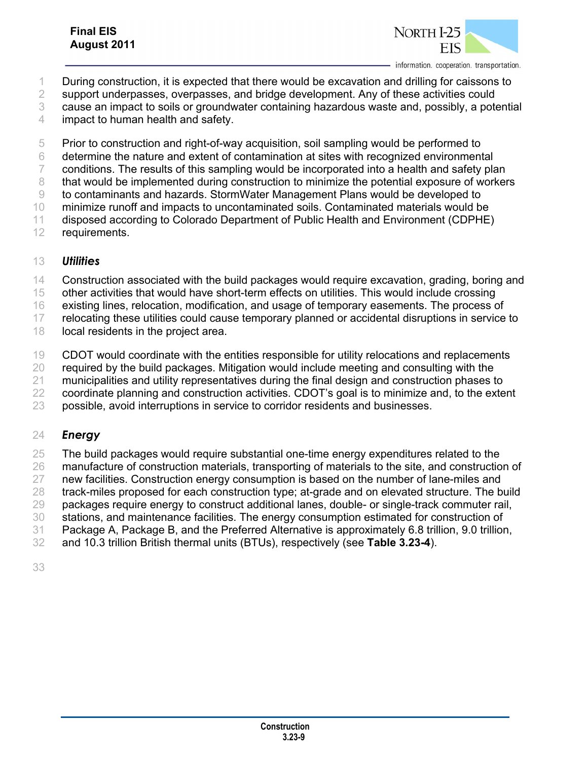### **Final EIS August 2011**



information. cooperation. transportation.

During construction, it is expected that there would be excavation and drilling for caissons to

support underpasses, overpasses, and bridge development. Any of these activities could

- cause an impact to soils or groundwater containing hazardous waste and, possibly, a potential
- impact to human health and safety.

Prior to construction and right-of-way acquisition, soil sampling would be performed to

- determine the nature and extent of contamination at sites with recognized environmental
- conditions. The results of this sampling would be incorporated into a health and safety plan
- that would be implemented during construction to minimize the potential exposure of workers
- to contaminants and hazards. StormWater Management Plans would be developed to
- minimize runoff and impacts to uncontaminated soils. Contaminated materials would be
- disposed according to Colorado Department of Public Health and Environment (CDPHE) requirements.
- 

### *Utilities*

- Construction associated with the build packages would require excavation, grading, boring and
- other activities that would have short-term effects on utilities. This would include crossing
- 16 existing lines, relocation, modification, and usage of temporary easements. The process of
- relocating these utilities could cause temporary planned or accidental disruptions in service to
- 18 local residents in the project area.
- CDOT would coordinate with the entities responsible for utility relocations and replacements
- required by the build packages. Mitigation would include meeting and consulting with the
- municipalities and utility representatives during the final design and construction phases to
- coordinate planning and construction activities. CDOT's goal is to minimize and, to the extent
- possible, avoid interruptions in service to corridor residents and businesses.

### *Energy*

- 25 The build packages would require substantial one-time energy expenditures related to the
- manufacture of construction materials, transporting of materials to the site, and construction of new facilities. Construction energy consumption is based on the number of lane-miles and
- track-miles proposed for each construction type; at-grade and on elevated structure. The build
- packages require energy to construct additional lanes, double- or single-track commuter rail,
- stations, and maintenance facilities. The energy consumption estimated for construction of
- Package A, Package B, and the Preferred Alternative is approximately 6.8 trillion, 9.0 trillion,
- and 10.3 trillion British thermal units (BTUs), respectively (see **Table 3.23-4**).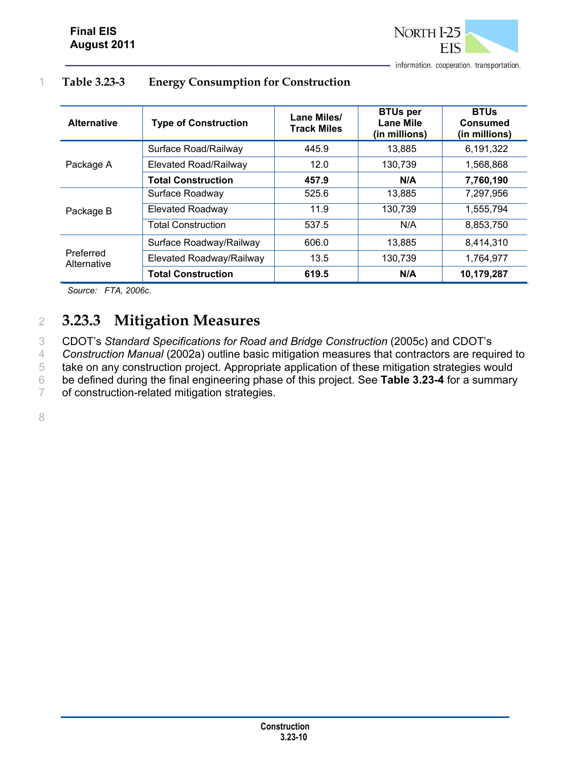

#### 1 **Table 3.23-3 Energy Consumption for Construction**

| <b>Alternative</b>       | <b>Type of Construction</b> | Lane Miles/<br><b>Track Miles</b> | <b>BTUs per</b><br><b>Lane Mile</b><br>(in millions) | <b>BTUs</b><br>Consumed<br>(in millions) |
|--------------------------|-----------------------------|-----------------------------------|------------------------------------------------------|------------------------------------------|
| Package A                | Surface Road/Railway        | 445.9                             | 13.885                                               | 6,191,322                                |
|                          | Elevated Road/Railway       | 12.0                              | 130,739                                              | 1,568,868                                |
|                          | <b>Total Construction</b>   | 457.9                             | N/A                                                  | 7,760,190                                |
| Package B                | Surface Roadway             | 525.6                             | 13,885                                               | 7,297,956                                |
|                          | <b>Elevated Roadway</b>     | 11.9                              | 130,739                                              | 1,555,794                                |
|                          | <b>Total Construction</b>   | 537.5                             | N/A                                                  | 8,853,750                                |
| Preferred<br>Alternative | Surface Roadway/Railway     | 606.0                             | 13,885                                               | 8,414,310                                |
|                          | Elevated Roadway/Railway    | 13.5                              | 130,739                                              | 1,764,977                                |
|                          | <b>Total Construction</b>   | 619.5                             | N/A                                                  | 10,179,287                               |

*Source: FTA, 2006c*.

# 2 **3.23.3 Mitigation Measures**

 CDOT's *Standard Specifications for Road and Bridge Construction* (2005c) and CDOT's *Construction Manual* (2002a) outline basic mitigation measures that contractors are required to take on any construction project. Appropriate application of these mitigation strategies would be defined during the final engineering phase of this project. See **Table 3.23-4** for a summary of construction-related mitigation strategies.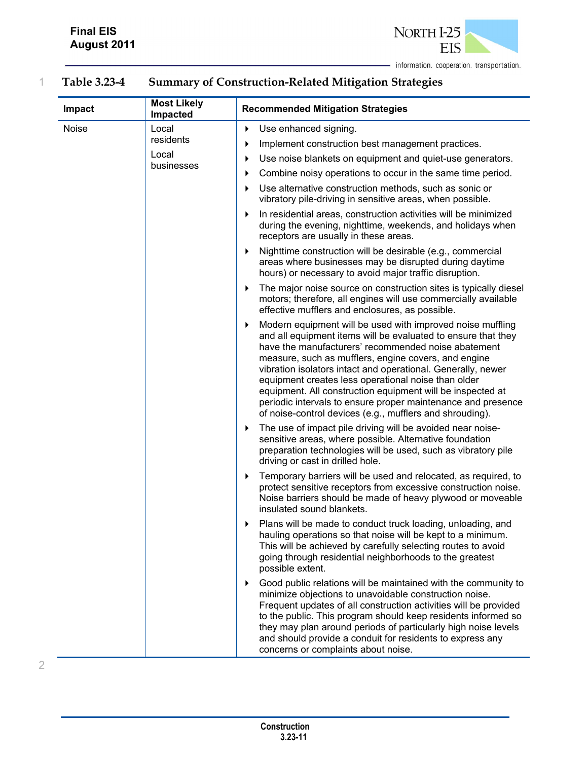

2

- information. cooperation. transportation.

## 1 **Table 3.23-4 Summary of Construction-Related Mitigation Strategies**

| Impact | <b>Most Likely</b><br>Impacted | <b>Recommended Mitigation Strategies</b>                                                                                                                                                                                                                                                                                                                                                                                                                                                                                                                         |
|--------|--------------------------------|------------------------------------------------------------------------------------------------------------------------------------------------------------------------------------------------------------------------------------------------------------------------------------------------------------------------------------------------------------------------------------------------------------------------------------------------------------------------------------------------------------------------------------------------------------------|
| Noise  | Local<br>residents             | Use enhanced signing.<br>▶                                                                                                                                                                                                                                                                                                                                                                                                                                                                                                                                       |
|        | Local                          | Implement construction best management practices.<br>▶                                                                                                                                                                                                                                                                                                                                                                                                                                                                                                           |
|        | businesses                     | Use noise blankets on equipment and quiet-use generators.<br>▶                                                                                                                                                                                                                                                                                                                                                                                                                                                                                                   |
|        |                                | Combine noisy operations to occur in the same time period.<br>▶<br>Use alternative construction methods, such as sonic or<br>▶                                                                                                                                                                                                                                                                                                                                                                                                                                   |
|        |                                | vibratory pile-driving in sensitive areas, when possible.                                                                                                                                                                                                                                                                                                                                                                                                                                                                                                        |
|        |                                | In residential areas, construction activities will be minimized<br>▶<br>during the evening, nighttime, weekends, and holidays when<br>receptors are usually in these areas.                                                                                                                                                                                                                                                                                                                                                                                      |
|        |                                | Nighttime construction will be desirable (e.g., commercial<br>▶<br>areas where businesses may be disrupted during daytime<br>hours) or necessary to avoid major traffic disruption.                                                                                                                                                                                                                                                                                                                                                                              |
|        |                                | The major noise source on construction sites is typically diesel<br>▶<br>motors; therefore, all engines will use commercially available<br>effective mufflers and enclosures, as possible.                                                                                                                                                                                                                                                                                                                                                                       |
|        |                                | Modern equipment will be used with improved noise muffling<br>▶<br>and all equipment items will be evaluated to ensure that they<br>have the manufacturers' recommended noise abatement<br>measure, such as mufflers, engine covers, and engine<br>vibration isolators intact and operational. Generally, newer<br>equipment creates less operational noise than older<br>equipment. All construction equipment will be inspected at<br>periodic intervals to ensure proper maintenance and presence<br>of noise-control devices (e.g., mufflers and shrouding). |
|        |                                | The use of impact pile driving will be avoided near noise-<br>▶<br>sensitive areas, where possible. Alternative foundation<br>preparation technologies will be used, such as vibratory pile<br>driving or cast in drilled hole.                                                                                                                                                                                                                                                                                                                                  |
|        |                                | Temporary barriers will be used and relocated, as required, to<br>▶<br>protect sensitive receptors from excessive construction noise.<br>Noise barriers should be made of heavy plywood or moveable<br>insulated sound blankets.                                                                                                                                                                                                                                                                                                                                 |
|        |                                | Plans will be made to conduct truck loading, unloading, and<br>hauling operations so that noise will be kept to a minimum.<br>This will be achieved by carefully selecting routes to avoid<br>going through residential neighborhoods to the greatest<br>possible extent.                                                                                                                                                                                                                                                                                        |
|        |                                | Good public relations will be maintained with the community to<br>▶<br>minimize objections to unavoidable construction noise.<br>Frequent updates of all construction activities will be provided<br>to the public. This program should keep residents informed so<br>they may plan around periods of particularly high noise levels<br>and should provide a conduit for residents to express any<br>concerns or complaints about noise.                                                                                                                         |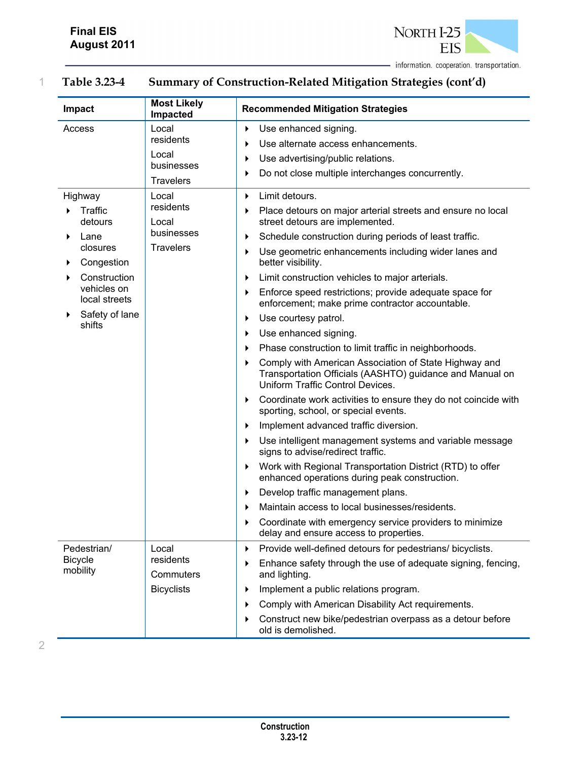**Impact Most Likely Impacted Impacted Recommended Mitigation Strategies**  Access Local residents Local businesses **Travelers** ▶ Use enhanced signing. Use alternate access enhancements. Use advertising/public relations. Do not close multiple interchanges concurrently. Highway **Traffic** detours Lane closures Congestion Construction vehicles on local streets Safety of lane shifts Local residents Local businesses **Travelers Limit detours.** Place detours on major arterial streets and ensure no local street detours are implemented. Schedule construction during periods of least traffic. Use geometric enhancements including wider lanes and better visibility. **Limit construction vehicles to major arterials. Enforce speed restrictions; provide adequate space for** enforcement; make prime contractor accountable. ▶ Use courtesy patrol. ▶ Use enhanced signing. **Phase construction to limit traffic in neighborhoods.**  Comply with American Association of State Highway and Transportation Officials (AASHTO) guidance and Manual on Uniform Traffic Control Devices. Coordinate work activities to ensure they do not coincide with sporting, school, or special events. **Implement advanced traffic diversion.**  Use intelligent management systems and variable message signs to advise/redirect traffic. Work with Regional Transportation District (RTD) to offer enhanced operations during peak construction. Develop traffic management plans. Maintain access to local businesses/residents. Coordinate with emergency service providers to minimize delay and ensure access to properties. Pedestrian/ Bicycle mobility Local residents **Commuters Bicyclists** Provide well-defined detours for pedestrians/ bicyclists. Enhance safety through the use of adequate signing, fencing, and lighting. Implement a public relations program. Comply with American Disability Act requirements. Construct new bike/pedestrian overpass as a detour before old is demolished.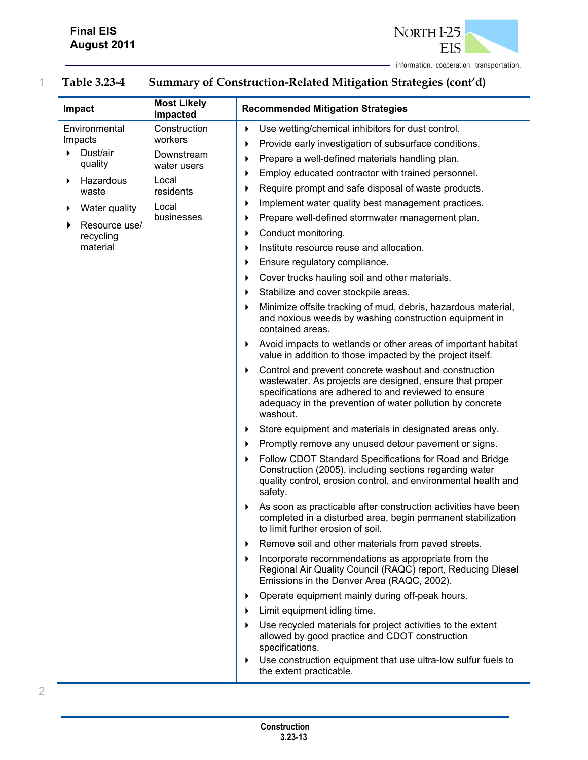

# 1 **Table 3.23-4 Summary of Construction-Related Mitigation Strategies (cont'd)**

| Impact                   | <b>Most Likely</b><br>Impacted | <b>Recommended Mitigation Strategies</b>                                                                                                                                                                                                                |
|--------------------------|--------------------------------|---------------------------------------------------------------------------------------------------------------------------------------------------------------------------------------------------------------------------------------------------------|
| Environmental<br>Impacts | Construction<br>workers        | Use wetting/chemical inhibitors for dust control.<br>▶                                                                                                                                                                                                  |
| Dust/air                 | Downstream                     | Provide early investigation of subsurface conditions.<br>▶                                                                                                                                                                                              |
| quality                  | water users                    | Prepare a well-defined materials handling plan.<br>▶                                                                                                                                                                                                    |
| Hazardous<br>▶           | Local                          | Employ educated contractor with trained personnel.<br>▶                                                                                                                                                                                                 |
| waste                    | residents                      | Require prompt and safe disposal of waste products.<br>▶                                                                                                                                                                                                |
| Water quality<br>▶       | Local                          | Implement water quality best management practices.<br>▶                                                                                                                                                                                                 |
| Resource use/            | businesses                     | Prepare well-defined stormwater management plan.<br>▶                                                                                                                                                                                                   |
| recycling                |                                | Conduct monitoring.<br>▶                                                                                                                                                                                                                                |
| material                 |                                | Institute resource reuse and allocation.<br>▶                                                                                                                                                                                                           |
|                          |                                | Ensure regulatory compliance.<br>▶                                                                                                                                                                                                                      |
|                          |                                | Cover trucks hauling soil and other materials.<br>▶                                                                                                                                                                                                     |
|                          |                                | Stabilize and cover stockpile areas.<br>▶                                                                                                                                                                                                               |
|                          |                                | Minimize offsite tracking of mud, debris, hazardous material,<br>and noxious weeds by washing construction equipment in<br>contained areas.                                                                                                             |
|                          |                                | Avoid impacts to wetlands or other areas of important habitat<br>▶<br>value in addition to those impacted by the project itself.                                                                                                                        |
|                          |                                | Control and prevent concrete washout and construction<br>▶<br>wastewater. As projects are designed, ensure that proper<br>specifications are adhered to and reviewed to ensure<br>adequacy in the prevention of water pollution by concrete<br>washout. |
|                          |                                | Store equipment and materials in designated areas only.<br>▶                                                                                                                                                                                            |
|                          |                                | Promptly remove any unused detour pavement or signs.<br>▶                                                                                                                                                                                               |
|                          |                                | Follow CDOT Standard Specifications for Road and Bridge<br>▶<br>Construction (2005), including sections regarding water<br>quality control, erosion control, and environmental health and<br>safety.                                                    |
|                          |                                | As soon as practicable after construction activities have been<br>▶<br>completed in a disturbed area, begin permanent stabilization<br>to limit further erosion of soil.                                                                                |
|                          |                                | Remove soil and other materials from paved streets.<br>▶                                                                                                                                                                                                |
|                          |                                | Incorporate recommendations as appropriate from the<br>▶<br>Regional Air Quality Council (RAQC) report, Reducing Diesel<br>Emissions in the Denver Area (RAQC, 2002).                                                                                   |
|                          |                                | Operate equipment mainly during off-peak hours.<br>▶                                                                                                                                                                                                    |
|                          |                                | Limit equipment idling time.<br>▶                                                                                                                                                                                                                       |
|                          |                                | Use recycled materials for project activities to the extent<br>▶<br>allowed by good practice and CDOT construction<br>specifications.                                                                                                                   |
|                          |                                | Use construction equipment that use ultra-low sulfur fuels to<br>▶<br>the extent practicable.                                                                                                                                                           |